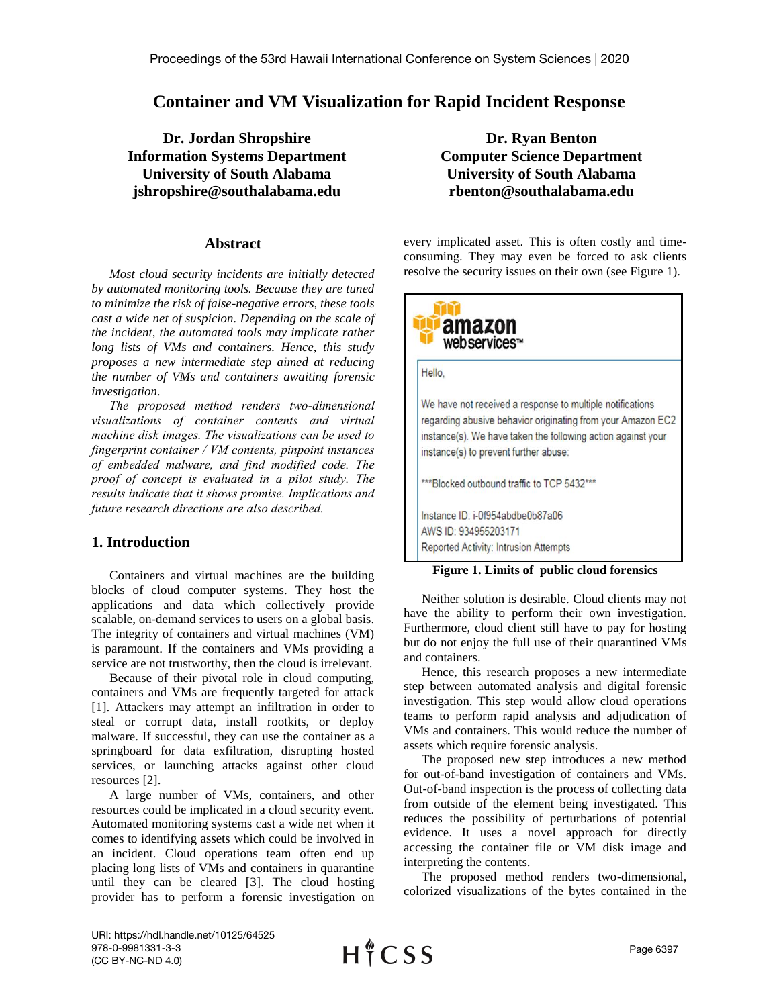# **Container and VM Visualization for Rapid Incident Response**

**Dr. Jordan Shropshire Information Systems Department University of South Alabama jshropshire@southalabama.edu**

## **Abstract**

*Most cloud security incidents are initially detected by automated monitoring tools. Because they are tuned to minimize the risk of false-negative errors, these tools cast a wide net of suspicion. Depending on the scale of the incident, the automated tools may implicate rather long lists of VMs and containers. Hence, this study proposes a new intermediate step aimed at reducing the number of VMs and containers awaiting forensic investigation.* 

*The proposed method renders two-dimensional visualizations of container contents and virtual machine disk images. The visualizations can be used to fingerprint container / VM contents, pinpoint instances of embedded malware, and find modified code. The proof of concept is evaluated in a pilot study. The results indicate that it shows promise. Implications and future research directions are also described.* 

# **1. Introduction**

Containers and virtual machines are the building blocks of cloud computer systems. They host the applications and data which collectively provide scalable, on-demand services to users on a global basis. The integrity of containers and virtual machines (VM) is paramount. If the containers and VMs providing a service are not trustworthy, then the cloud is irrelevant.

Because of their pivotal role in cloud computing, containers and VMs are frequently targeted for attack [1]. Attackers may attempt an infiltration in order to steal or corrupt data, install rootkits, or deploy malware. If successful, they can use the container as a springboard for data exfiltration, disrupting hosted services, or launching attacks against other cloud resources [2].

A large number of VMs, containers, and other resources could be implicated in a cloud security event. Automated monitoring systems cast a wide net when it comes to identifying assets which could be involved in an incident. Cloud operations team often end up placing long lists of VMs and containers in quarantine until they can be cleared [3]. The cloud hosting provider has to perform a forensic investigation on

**Dr. Ryan Benton Computer Science Department University of South Alabama rbenton@southalabama.edu**

every implicated asset. This is often costly and timeconsuming. They may even be forced to ask clients resolve the security issues on their own (see Figure 1).



#### **Figure 1. Limits of public cloud forensics**

Neither solution is desirable. Cloud clients may not have the ability to perform their own investigation. Furthermore, cloud client still have to pay for hosting but do not enjoy the full use of their quarantined VMs and containers.

Hence, this research proposes a new intermediate step between automated analysis and digital forensic investigation. This step would allow cloud operations teams to perform rapid analysis and adjudication of VMs and containers. This would reduce the number of assets which require forensic analysis.

The proposed new step introduces a new method for out-of-band investigation of containers and VMs. Out-of-band inspection is the process of collecting data from outside of the element being investigated. This reduces the possibility of perturbations of potential evidence. It uses a novel approach for directly accessing the container file or VM disk image and interpreting the contents.

The proposed method renders two-dimensional, colorized visualizations of the bytes contained in the

URI: https://hdl.handle.net/10125/64525 978-0-9981331-3-3 (CC BY-NC-ND 4.0)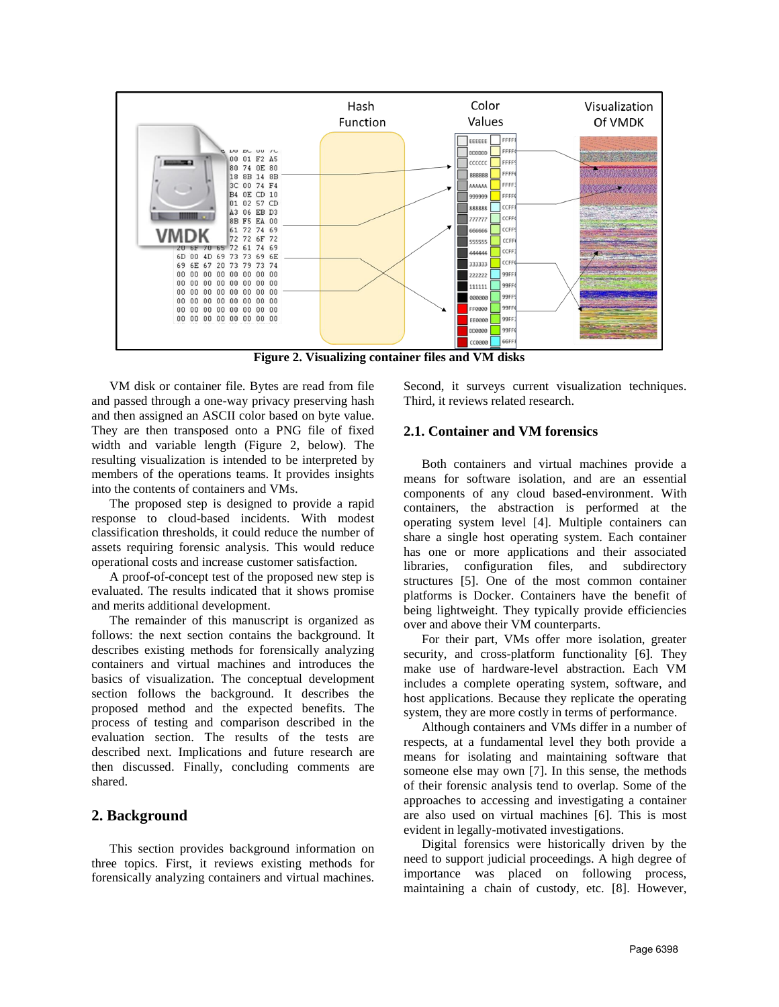

**Figure 2. Visualizing container files and VM disks**

VM disk or container file. Bytes are read from file and passed through a one-way privacy preserving hash and then assigned an ASCII color based on byte value. They are then transposed onto a PNG file of fixed width and variable length (Figure 2, below). The resulting visualization is intended to be interpreted by members of the operations teams. It provides insights into the contents of containers and VMs.

The proposed step is designed to provide a rapid response to cloud-based incidents. With modest classification thresholds, it could reduce the number of assets requiring forensic analysis. This would reduce operational costs and increase customer satisfaction.

A proof-of-concept test of the proposed new step is evaluated. The results indicated that it shows promise and merits additional development.

The remainder of this manuscript is organized as follows: the next section contains the background. It describes existing methods for forensically analyzing containers and virtual machines and introduces the basics of visualization. The conceptual development section follows the background. It describes the proposed method and the expected benefits. The process of testing and comparison described in the evaluation section. The results of the tests are described next. Implications and future research are then discussed. Finally, concluding comments are shared.

## **2. Background**

This section provides background information on three topics. First, it reviews existing methods for forensically analyzing containers and virtual machines.

Second, it surveys current visualization techniques. Third, it reviews related research.

### **2.1. Container and VM forensics**

Both containers and virtual machines provide a means for software isolation, and are an essential components of any cloud based-environment. With containers, the abstraction is performed at the operating system level [4]. Multiple containers can share a single host operating system. Each container has one or more applications and their associated libraries, configuration files, and subdirectory structures [5]. One of the most common container platforms is Docker. Containers have the benefit of being lightweight. They typically provide efficiencies over and above their VM counterparts.

For their part, VMs offer more isolation, greater security, and cross-platform functionality [6]. They make use of hardware-level abstraction. Each VM includes a complete operating system, software, and host applications. Because they replicate the operating system, they are more costly in terms of performance.

Although containers and VMs differ in a number of respects, at a fundamental level they both provide a means for isolating and maintaining software that someone else may own [7]. In this sense, the methods of their forensic analysis tend to overlap. Some of the approaches to accessing and investigating a container are also used on virtual machines [6]. This is most evident in legally-motivated investigations.

Digital forensics were historically driven by the need to support judicial proceedings. A high degree of importance was placed on following process, maintaining a chain of custody, etc. [8]. However,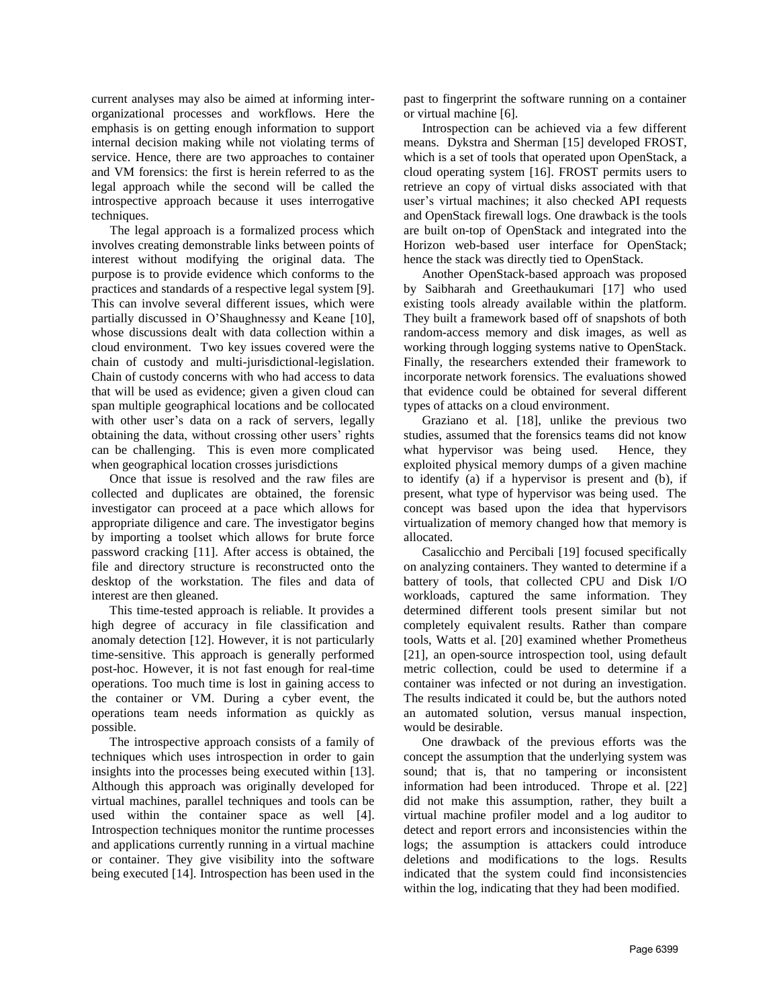current analyses may also be aimed at informing interorganizational processes and workflows. Here the emphasis is on getting enough information to support internal decision making while not violating terms of service. Hence, there are two approaches to container and VM forensics: the first is herein referred to as the legal approach while the second will be called the introspective approach because it uses interrogative techniques.

The legal approach is a formalized process which involves creating demonstrable links between points of interest without modifying the original data. The purpose is to provide evidence which conforms to the practices and standards of a respective legal system [9]. This can involve several different issues, which were partially discussed in O'Shaughnessy and Keane [10], whose discussions dealt with data collection within a cloud environment. Two key issues covered were the chain of custody and multi-jurisdictional-legislation. Chain of custody concerns with who had access to data that will be used as evidence; given a given cloud can span multiple geographical locations and be collocated with other user's data on a rack of servers, legally obtaining the data, without crossing other users' rights can be challenging. This is even more complicated when geographical location crosses jurisdictions

Once that issue is resolved and the raw files are collected and duplicates are obtained, the forensic investigator can proceed at a pace which allows for appropriate diligence and care. The investigator begins by importing a toolset which allows for brute force password cracking [11]. After access is obtained, the file and directory structure is reconstructed onto the desktop of the workstation. The files and data of interest are then gleaned.

This time-tested approach is reliable. It provides a high degree of accuracy in file classification and anomaly detection [12]. However, it is not particularly time-sensitive. This approach is generally performed post-hoc. However, it is not fast enough for real-time operations. Too much time is lost in gaining access to the container or VM. During a cyber event, the operations team needs information as quickly as possible.

The introspective approach consists of a family of techniques which uses introspection in order to gain insights into the processes being executed within [13]. Although this approach was originally developed for virtual machines, parallel techniques and tools can be used within the container space as well [4]. Introspection techniques monitor the runtime processes and applications currently running in a virtual machine or container. They give visibility into the software being executed [14]. Introspection has been used in the

past to fingerprint the software running on a container or virtual machine [6].

Introspection can be achieved via a few different means. Dykstra and Sherman [15] developed FROST, which is a set of tools that operated upon OpenStack, a cloud operating system [16]. FROST permits users to retrieve an copy of virtual disks associated with that user's virtual machines; it also checked API requests and OpenStack firewall logs. One drawback is the tools are built on-top of OpenStack and integrated into the Horizon web-based user interface for OpenStack; hence the stack was directly tied to OpenStack.

Another OpenStack-based approach was proposed by Saibharah and Greethaukumari [17] who used existing tools already available within the platform. They built a framework based off of snapshots of both random-access memory and disk images, as well as working through logging systems native to OpenStack. Finally, the researchers extended their framework to incorporate network forensics. The evaluations showed that evidence could be obtained for several different types of attacks on a cloud environment.

Graziano et al. [18], unlike the previous two studies, assumed that the forensics teams did not know what hypervisor was being used. Hence, they exploited physical memory dumps of a given machine to identify (a) if a hypervisor is present and (b), if present, what type of hypervisor was being used. The concept was based upon the idea that hypervisors virtualization of memory changed how that memory is allocated.

Casalicchio and Percibali [19] focused specifically on analyzing containers. They wanted to determine if a battery of tools, that collected CPU and Disk I/O workloads, captured the same information. They determined different tools present similar but not completely equivalent results. Rather than compare tools, Watts et al. [20] examined whether Prometheus [21], an open-source introspection tool, using default metric collection, could be used to determine if a container was infected or not during an investigation. The results indicated it could be, but the authors noted an automated solution, versus manual inspection, would be desirable.

One drawback of the previous efforts was the concept the assumption that the underlying system was sound; that is, that no tampering or inconsistent information had been introduced. Thrope et al. [22] did not make this assumption, rather, they built a virtual machine profiler model and a log auditor to detect and report errors and inconsistencies within the logs; the assumption is attackers could introduce deletions and modifications to the logs. Results indicated that the system could find inconsistencies within the log, indicating that they had been modified.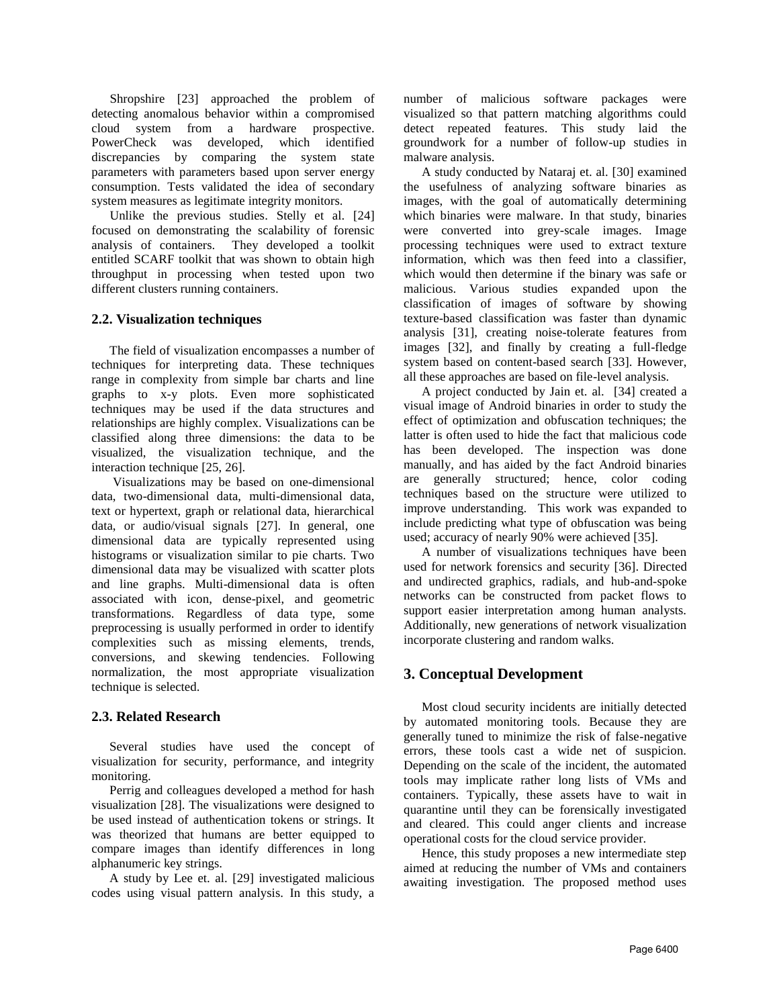Shropshire [23] approached the problem of detecting anomalous behavior within a compromised cloud system from a hardware prospective. PowerCheck was developed, which identified discrepancies by comparing the system state parameters with parameters based upon server energy consumption. Tests validated the idea of secondary system measures as legitimate integrity monitors.

Unlike the previous studies. Stelly et al. [24] focused on demonstrating the scalability of forensic analysis of containers. They developed a toolkit entitled SCARF toolkit that was shown to obtain high throughput in processing when tested upon two different clusters running containers.

## **2.2. Visualization techniques**

The field of visualization encompasses a number of techniques for interpreting data. These techniques range in complexity from simple bar charts and line graphs to x-y plots. Even more sophisticated techniques may be used if the data structures and relationships are highly complex. Visualizations can be classified along three dimensions: the data to be visualized, the visualization technique, and the interaction technique [25, 26].

Visualizations may be based on one-dimensional data, two-dimensional data, multi-dimensional data, text or hypertext, graph or relational data, hierarchical data, or audio/visual signals [27]. In general, one dimensional data are typically represented using histograms or visualization similar to pie charts. Two dimensional data may be visualized with scatter plots and line graphs. Multi-dimensional data is often associated with icon, dense-pixel, and geometric transformations. Regardless of data type, some preprocessing is usually performed in order to identify complexities such as missing elements, trends, conversions, and skewing tendencies. Following normalization, the most appropriate visualization technique is selected.

# **2.3. Related Research**

Several studies have used the concept of visualization for security, performance, and integrity monitoring.

Perrig and colleagues developed a method for hash visualization [28]. The visualizations were designed to be used instead of authentication tokens or strings. It was theorized that humans are better equipped to compare images than identify differences in long alphanumeric key strings.

A study by Lee et. al. [29] investigated malicious codes using visual pattern analysis. In this study, a number of malicious software packages were visualized so that pattern matching algorithms could detect repeated features. This study laid the groundwork for a number of follow-up studies in malware analysis.

A study conducted by Nataraj et. al. [30] examined the usefulness of analyzing software binaries as images, with the goal of automatically determining which binaries were malware. In that study, binaries were converted into grey-scale images. Image processing techniques were used to extract texture information, which was then feed into a classifier, which would then determine if the binary was safe or malicious. Various studies expanded upon the classification of images of software by showing texture-based classification was faster than dynamic analysis [31], creating noise-tolerate features from images [32], and finally by creating a full-fledge system based on content-based search [33]. However, all these approaches are based on file-level analysis.

A project conducted by Jain et. al. [34] created a visual image of Android binaries in order to study the effect of optimization and obfuscation techniques; the latter is often used to hide the fact that malicious code has been developed. The inspection was done manually, and has aided by the fact Android binaries are generally structured; hence, color coding techniques based on the structure were utilized to improve understanding. This work was expanded to include predicting what type of obfuscation was being used; accuracy of nearly 90% were achieved [35].

A number of visualizations techniques have been used for network forensics and security [36]. Directed and undirected graphics, radials, and hub-and-spoke networks can be constructed from packet flows to support easier interpretation among human analysts. Additionally, new generations of network visualization incorporate clustering and random walks.

# **3. Conceptual Development**

Most cloud security incidents are initially detected by automated monitoring tools. Because they are generally tuned to minimize the risk of false-negative errors, these tools cast a wide net of suspicion. Depending on the scale of the incident, the automated tools may implicate rather long lists of VMs and containers. Typically, these assets have to wait in quarantine until they can be forensically investigated and cleared. This could anger clients and increase operational costs for the cloud service provider.

Hence, this study proposes a new intermediate step aimed at reducing the number of VMs and containers awaiting investigation. The proposed method uses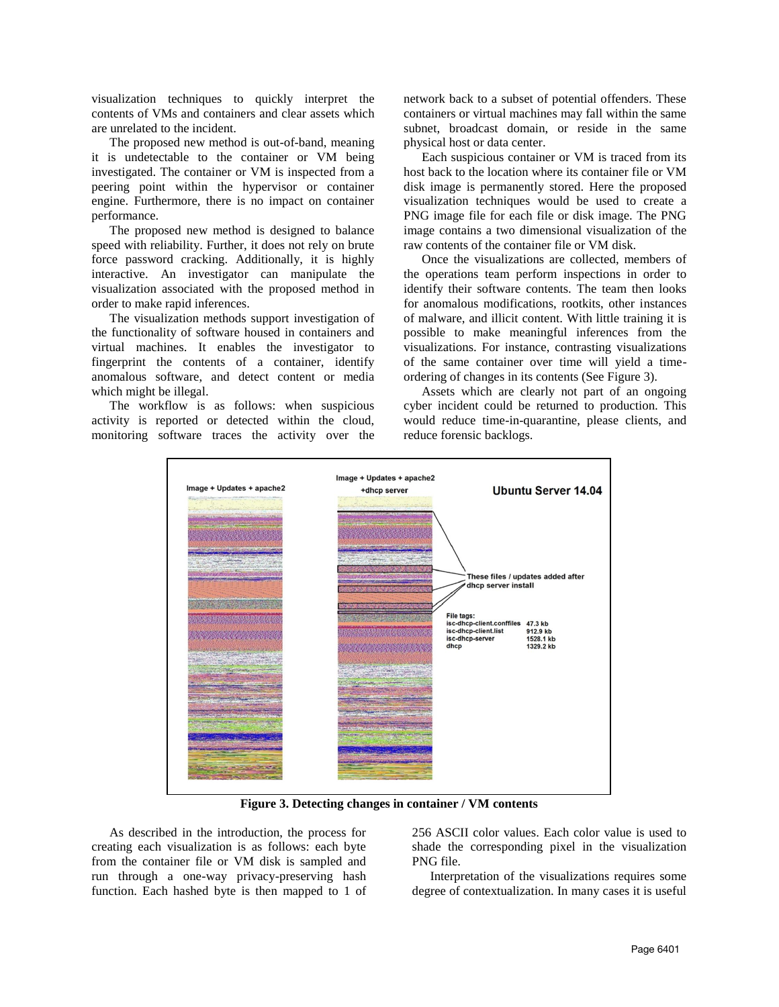visualization techniques to quickly interpret the contents of VMs and containers and clear assets which are unrelated to the incident.

The proposed new method is out-of-band, meaning it is undetectable to the container or VM being investigated. The container or VM is inspected from a peering point within the hypervisor or container engine. Furthermore, there is no impact on container performance.

The proposed new method is designed to balance speed with reliability. Further, it does not rely on brute force password cracking. Additionally, it is highly interactive. An investigator can manipulate the visualization associated with the proposed method in order to make rapid inferences.

The visualization methods support investigation of the functionality of software housed in containers and virtual machines. It enables the investigator to fingerprint the contents of a container, identify anomalous software, and detect content or media which might be illegal.

The workflow is as follows: when suspicious activity is reported or detected within the cloud, monitoring software traces the activity over the

network back to a subset of potential offenders. These containers or virtual machines may fall within the same subnet, broadcast domain, or reside in the same physical host or data center.

Each suspicious container or VM is traced from its host back to the location where its container file or VM disk image is permanently stored. Here the proposed visualization techniques would be used to create a PNG image file for each file or disk image. The PNG image contains a two dimensional visualization of the raw contents of the container file or VM disk.

Once the visualizations are collected, members of the operations team perform inspections in order to identify their software contents. The team then looks for anomalous modifications, rootkits, other instances of malware, and illicit content. With little training it is possible to make meaningful inferences from the visualizations. For instance, contrasting visualizations of the same container over time will yield a timeordering of changes in its contents (See Figure 3).

Assets which are clearly not part of an ongoing cyber incident could be returned to production. This would reduce time-in-quarantine, please clients, and reduce forensic backlogs.



**Figure 3. Detecting changes in container / VM contents**

As described in the introduction, the process for creating each visualization is as follows: each byte from the container file or VM disk is sampled and run through a one-way privacy-preserving hash function. Each hashed byte is then mapped to 1 of 256 ASCII color values. Each color value is used to shade the corresponding pixel in the visualization PNG file.

Interpretation of the visualizations requires some degree of contextualization. In many cases it is useful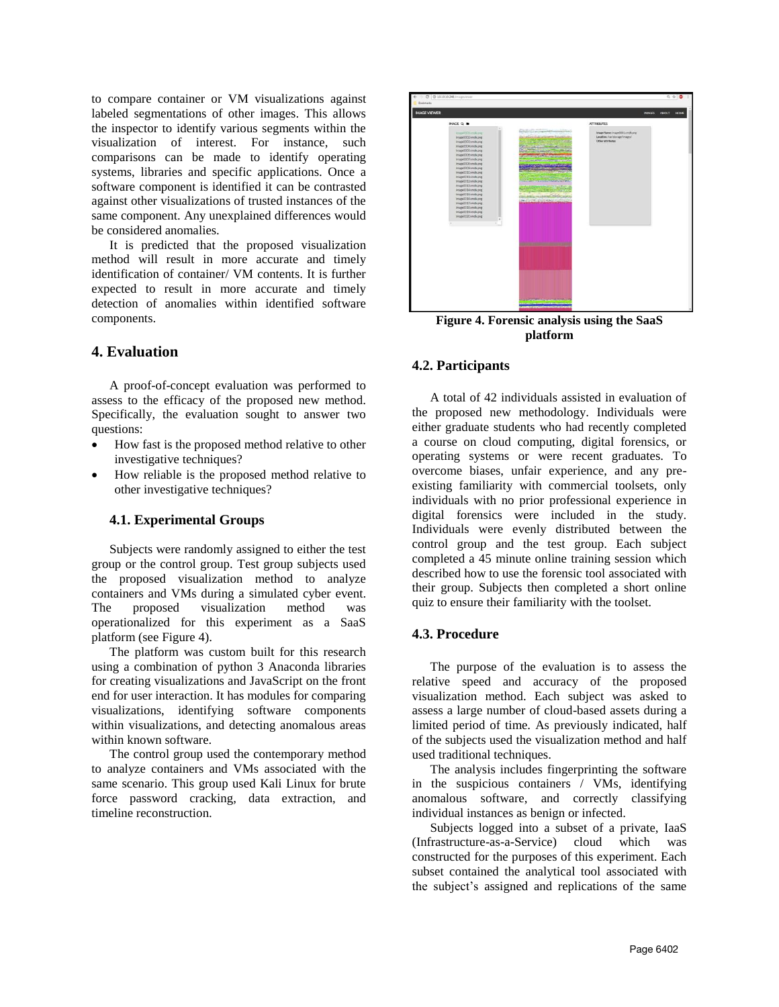to compare container or VM visualizations against labeled segmentations of other images. This allows the inspector to identify various segments within the visualization of interest. For instance, such comparisons can be made to identify operating systems, libraries and specific applications. Once a software component is identified it can be contrasted against other visualizations of trusted instances of the same component. Any unexplained differences would be considered anomalies.

It is predicted that the proposed visualization method will result in more accurate and timely identification of container/ VM contents. It is further expected to result in more accurate and timely detection of anomalies within identified software components.

## **4. Evaluation**

A proof-of-concept evaluation was performed to assess to the efficacy of the proposed new method. Specifically, the evaluation sought to answer two questions:

- How fast is the proposed method relative to other investigative techniques?
- How reliable is the proposed method relative to other investigative techniques?

#### **4.1. Experimental Groups**

Subjects were randomly assigned to either the test group or the control group. Test group subjects used the proposed visualization method to analyze containers and VMs during a simulated cyber event. The proposed visualization method was operationalized for this experiment as a SaaS platform (see Figure 4).

The platform was custom built for this research using a combination of python 3 Anaconda libraries for creating visualizations and JavaScript on the front end for user interaction. It has modules for comparing visualizations, identifying software components within visualizations, and detecting anomalous areas within known software.

The control group used the contemporary method to analyze containers and VMs associated with the same scenario. This group used Kali Linux for brute force password cracking, data extraction, and timeline reconstruction.



**Figure 4. Forensic analysis using the SaaS platform**

#### **4.2. Participants**

A total of 42 individuals assisted in evaluation of the proposed new methodology. Individuals were either graduate students who had recently completed a course on cloud computing, digital forensics, or operating systems or were recent graduates. To overcome biases, unfair experience, and any preexisting familiarity with commercial toolsets, only individuals with no prior professional experience in digital forensics were included in the study. Individuals were evenly distributed between the control group and the test group. Each subject completed a 45 minute online training session which described how to use the forensic tool associated with their group. Subjects then completed a short online quiz to ensure their familiarity with the toolset.

#### **4.3. Procedure**

The purpose of the evaluation is to assess the relative speed and accuracy of the proposed visualization method. Each subject was asked to assess a large number of cloud-based assets during a limited period of time. As previously indicated, half of the subjects used the visualization method and half used traditional techniques.

The analysis includes fingerprinting the software in the suspicious containers / VMs, identifying anomalous software, and correctly classifying individual instances as benign or infected.

Subjects logged into a subset of a private, IaaS (Infrastructure-as-a-Service) cloud which was constructed for the purposes of this experiment. Each subset contained the analytical tool associated with the subject's assigned and replications of the same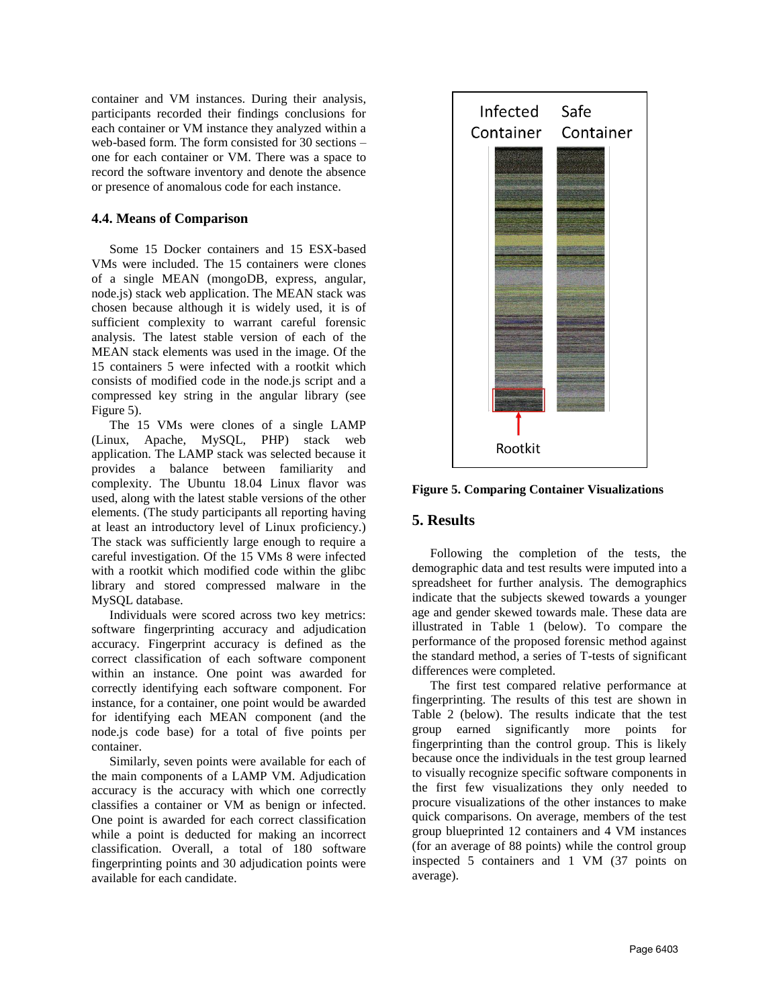container and VM instances. During their analysis, participants recorded their findings conclusions for each container or VM instance they analyzed within a web-based form. The form consisted for 30 sections – one for each container or VM. There was a space to record the software inventory and denote the absence or presence of anomalous code for each instance.

## **4.4. Means of Comparison**

Some 15 Docker containers and 15 ESX-based VMs were included. The 15 containers were clones of a single MEAN (mongoDB, express, angular, node.js) stack web application. The MEAN stack was chosen because although it is widely used, it is of sufficient complexity to warrant careful forensic analysis. The latest stable version of each of the MEAN stack elements was used in the image. Of the 15 containers 5 were infected with a rootkit which consists of modified code in the node.js script and a compressed key string in the angular library (see Figure 5).

The 15 VMs were clones of a single LAMP (Linux, Apache, MySQL, PHP) stack web application. The LAMP stack was selected because it provides a balance between familiarity and complexity. The Ubuntu 18.04 Linux flavor was used, along with the latest stable versions of the other elements. (The study participants all reporting having at least an introductory level of Linux proficiency.) The stack was sufficiently large enough to require a careful investigation. Of the 15 VMs 8 were infected with a rootkit which modified code within the glibc library and stored compressed malware in the MySQL database.

Individuals were scored across two key metrics: software fingerprinting accuracy and adjudication accuracy. Fingerprint accuracy is defined as the correct classification of each software component within an instance. One point was awarded for correctly identifying each software component. For instance, for a container, one point would be awarded for identifying each MEAN component (and the node.js code base) for a total of five points per container.

Similarly, seven points were available for each of the main components of a LAMP VM. Adjudication accuracy is the accuracy with which one correctly classifies a container or VM as benign or infected. One point is awarded for each correct classification while a point is deducted for making an incorrect classification. Overall, a total of 180 software fingerprinting points and 30 adjudication points were available for each candidate.



**Figure 5. Comparing Container Visualizations**

# **5. Results**

Following the completion of the tests, the demographic data and test results were imputed into a spreadsheet for further analysis. The demographics indicate that the subjects skewed towards a younger age and gender skewed towards male. These data are illustrated in Table 1 (below). To compare the performance of the proposed forensic method against the standard method, a series of T-tests of significant differences were completed.

The first test compared relative performance at fingerprinting. The results of this test are shown in Table 2 (below). The results indicate that the test group earned significantly more points for fingerprinting than the control group. This is likely because once the individuals in the test group learned to visually recognize specific software components in the first few visualizations they only needed to procure visualizations of the other instances to make quick comparisons. On average, members of the test group blueprinted 12 containers and 4 VM instances (for an average of 88 points) while the control group inspected 5 containers and 1 VM (37 points on average).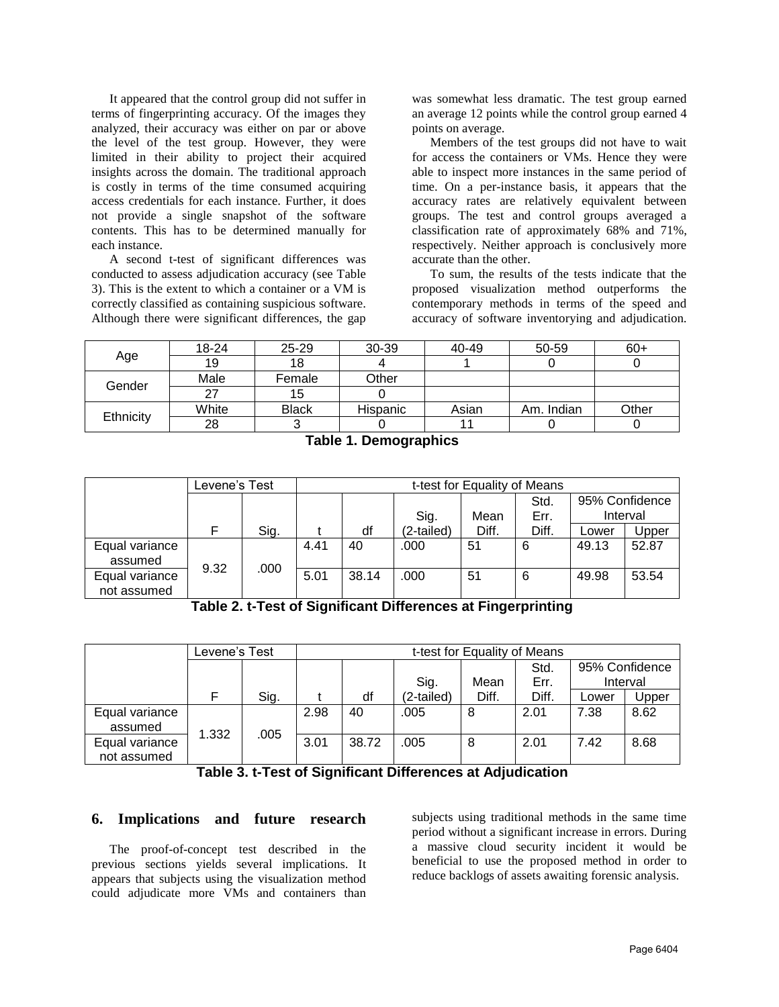It appeared that the control group did not suffer in terms of fingerprinting accuracy. Of the images they analyzed, their accuracy was either on par or above the level of the test group. However, they were limited in their ability to project their acquired insights across the domain. The traditional approach is costly in terms of the time consumed acquiring access credentials for each instance. Further, it does not provide a single snapshot of the software contents. This has to be determined manually for each instance.

A second t-test of significant differences was conducted to assess adjudication accuracy (see Table 3). This is the extent to which a container or a VM is correctly classified as containing suspicious software. Although there were significant differences, the gap

was somewhat less dramatic. The test group earned an average 12 points while the control group earned 4 points on average.

Members of the test groups did not have to wait for access the containers or VMs. Hence they were able to inspect more instances in the same period of time. On a per-instance basis, it appears that the accuracy rates are relatively equivalent between groups. The test and control groups averaged a classification rate of approximately 68% and 71%, respectively. Neither approach is conclusively more accurate than the other.

To sum, the results of the tests indicate that the proposed visualization method outperforms the contemporary methods in terms of the speed and accuracy of software inventorying and adjudication.

|           | 18-24 | $25 - 29$    | 30-39    | 40-49 | 50-59      | $60+$ |
|-----------|-------|--------------|----------|-------|------------|-------|
| Age       | 19    | 18           |          |       |            |       |
| Gender    | Male  | Female       | Other    |       |            |       |
|           | っっ    | 15           |          |       |            |       |
|           | White | <b>Black</b> | Hispanic | Asian | Am. Indian | Other |
| Ethnicity | 28    | ັ            |          |       |            |       |

| Table 1. Demographics |
|-----------------------|
|-----------------------|

|                | Levene's Test |      | t-test for Equality of Means |       |            |       |       |          |                |
|----------------|---------------|------|------------------------------|-------|------------|-------|-------|----------|----------------|
|                |               |      |                              |       |            |       | Std.  |          | 95% Confidence |
|                |               |      |                              |       | Sig.       | Mean  | Err.  | Interval |                |
|                |               | Sig. |                              | df    | (2-tailed) | Diff. | Diff. | Lower    | Upper          |
| Equal variance |               |      | 4.41                         | 40    | .000       | 51    | 6     | 49.13    | 52.87          |
| assumed        | 9.32          | .000 |                              |       |            |       |       |          |                |
| Equal variance |               |      | 5.01                         | 38.14 | .000       | 51    | 6     | 49.98    | 53.54          |
| not assumed    |               |      |                              |       |            |       |       |          |                |

**Table 2. t-Test of Significant Differences at Fingerprinting**

| Levene's Test                 |       |      | t-test for Equality of Means |       |            |       |              |                |          |
|-------------------------------|-------|------|------------------------------|-------|------------|-------|--------------|----------------|----------|
|                               |       |      |                              |       | Sig.       | Mean  | Std.<br>Err. | 95% Confidence | Interval |
|                               | F     | Sig. |                              | df    | (2-tailed) | Diff. | Diff.        | Lower          | Upper    |
| Equal variance<br>assumed     | 1.332 | .005 | 2.98                         | 40    | .005       | 8     | 2.01         | 7.38           | 8.62     |
| Equal variance<br>not assumed |       |      | 3.01                         | 38.72 | .005       | 8     | 2.01         | 7.42           | 8.68     |

# **6. Implications and future research**

The proof-of-concept test described in the previous sections yields several implications. It appears that subjects using the visualization method could adjudicate more VMs and containers than subjects using traditional methods in the same time period without a significant increase in errors. During a massive cloud security incident it would be beneficial to use the proposed method in order to reduce backlogs of assets awaiting forensic analysis.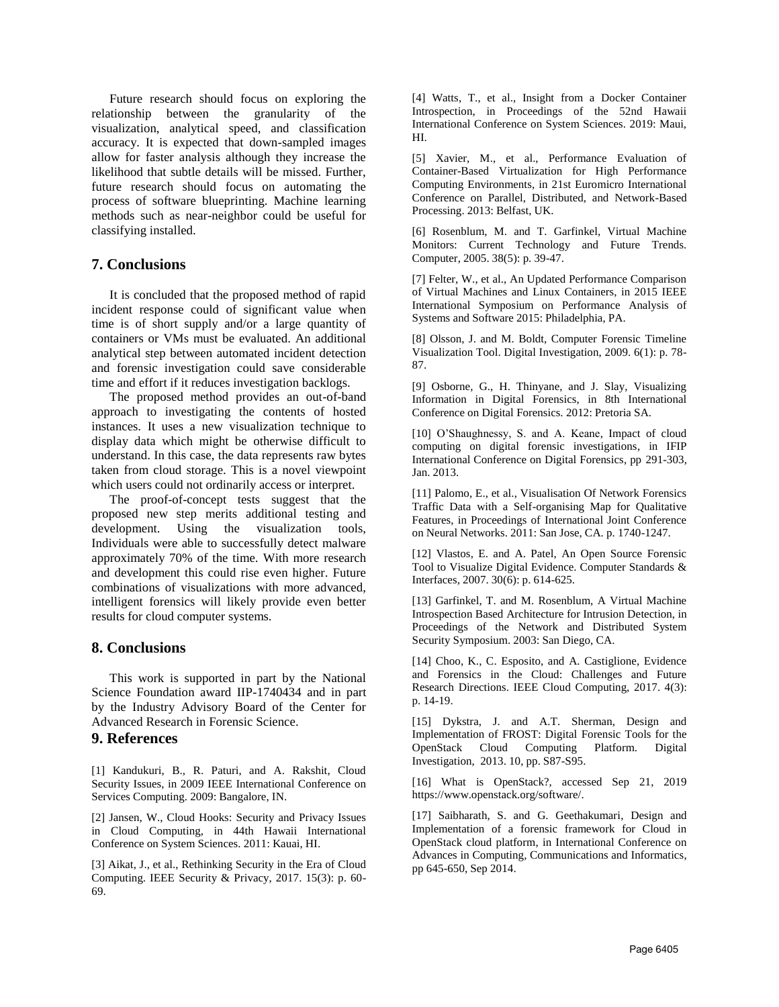Future research should focus on exploring the relationship between the granularity of the visualization, analytical speed, and classification accuracy. It is expected that down-sampled images allow for faster analysis although they increase the likelihood that subtle details will be missed. Further, future research should focus on automating the process of software blueprinting. Machine learning methods such as near-neighbor could be useful for classifying installed.

# **7. Conclusions**

It is concluded that the proposed method of rapid incident response could of significant value when time is of short supply and/or a large quantity of containers or VMs must be evaluated. An additional analytical step between automated incident detection and forensic investigation could save considerable time and effort if it reduces investigation backlogs.

The proposed method provides an out-of-band approach to investigating the contents of hosted instances. It uses a new visualization technique to display data which might be otherwise difficult to understand. In this case, the data represents raw bytes taken from cloud storage. This is a novel viewpoint which users could not ordinarily access or interpret.

The proof-of-concept tests suggest that the proposed new step merits additional testing and development. Using the visualization tools, Individuals were able to successfully detect malware approximately 70% of the time. With more research and development this could rise even higher. Future combinations of visualizations with more advanced, intelligent forensics will likely provide even better results for cloud computer systems.

## **8. Conclusions**

This work is supported in part by the National Science Foundation award IIP-1740434 and in part by the Industry Advisory Board of the Center for Advanced Research in Forensic Science.

#### **9. References**

[1] Kandukuri, B., R. Paturi, and A. Rakshit, Cloud Security Issues, in 2009 IEEE International Conference on Services Computing. 2009: Bangalore, IN.

[2] Jansen, W., Cloud Hooks: Security and Privacy Issues in Cloud Computing, in 44th Hawaii International Conference on System Sciences. 2011: Kauai, HI.

[3] Aikat, J., et al., Rethinking Security in the Era of Cloud Computing. IEEE Security & Privacy, 2017. 15(3): p. 60- 69.

[4] Watts, T., et al., Insight from a Docker Container Introspection, in Proceedings of the 52nd Hawaii International Conference on System Sciences. 2019: Maui, HI.

[5] Xavier, M., et al., Performance Evaluation of Container-Based Virtualization for High Performance Computing Environments, in 21st Euromicro International Conference on Parallel, Distributed, and Network-Based Processing. 2013: Belfast, UK.

[6] Rosenblum, M. and T. Garfinkel, Virtual Machine Monitors: Current Technology and Future Trends. Computer, 2005. 38(5): p. 39-47.

[7] Felter, W., et al., An Updated Performance Comparison of Virtual Machines and Linux Containers, in 2015 IEEE International Symposium on Performance Analysis of Systems and Software 2015: Philadelphia, PA.

[8] Olsson, J. and M. Boldt, Computer Forensic Timeline Visualization Tool. Digital Investigation, 2009. 6(1): p. 78- 87.

[9] Osborne, G., H. Thinyane, and J. Slay, Visualizing Information in Digital Forensics, in 8th International Conference on Digital Forensics. 2012: Pretoria SA.

[10] O'Shaughnessy, S. and A. Keane, Impact of cloud computing on digital forensic investigations, in IFIP International Conference on Digital Forensics, pp 291-303, Jan. 2013.

[11] Palomo, E., et al., Visualisation Of Network Forensics Traffic Data with a Self-organising Map for Qualitative Features, in Proceedings of International Joint Conference on Neural Networks. 2011: San Jose, CA. p. 1740-1247.

[12] Vlastos, E. and A. Patel, An Open Source Forensic Tool to Visualize Digital Evidence. Computer Standards & Interfaces, 2007. 30(6): p. 614-625.

[13] Garfinkel, T. and M. Rosenblum, A Virtual Machine Introspection Based Architecture for Intrusion Detection, in Proceedings of the Network and Distributed System Security Symposium. 2003: San Diego, CA.

[14] Choo, K., C. Esposito, and A. Castiglione, Evidence and Forensics in the Cloud: Challenges and Future Research Directions. IEEE Cloud Computing, 2017. 4(3): p. 14-19.

[15] Dykstra, J. and A.T. Sherman, Design and Implementation of FROST: Digital Forensic Tools for the OpenStack Cloud Computing Platform. Digital Investigation, 2013. 10, pp. S87-S95.

[16] What is OpenStack?, accessed Sep 21, 2019 [https://www.openstack.org/software/.](https://www.openstack.org/software/)

[17] Saibharath, S. and G. Geethakumari, Design and Implementation of a forensic framework for Cloud in OpenStack cloud platform, in International Conference on Advances in Computing, Communications and Informatics, pp 645-650, Sep 2014.